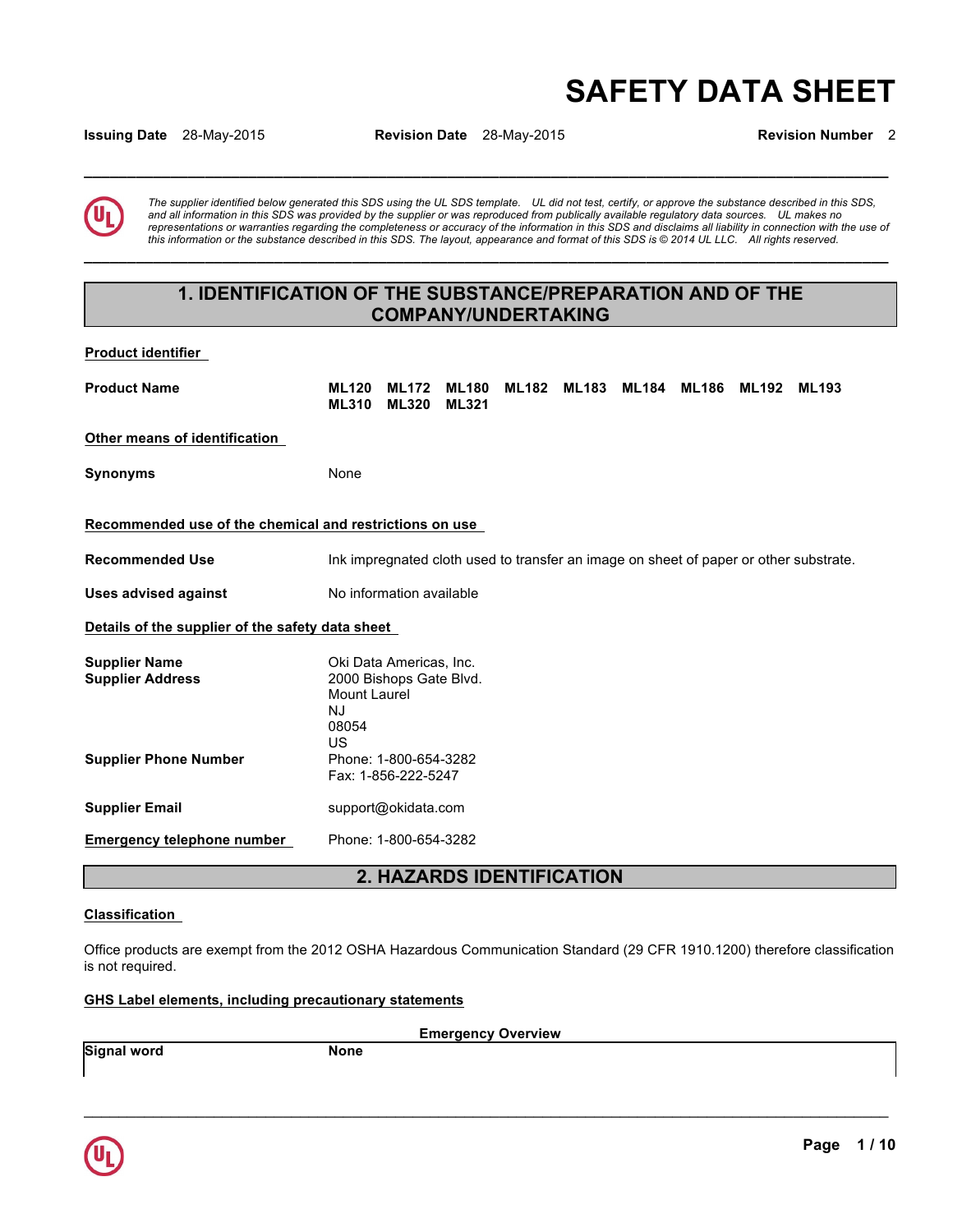# **SAFETY DATA SHEET**

**Issuing Date** 28-May-2015 **Revision Date** 28-May-2015 **Revision Number** 2

**\_\_\_\_\_\_\_\_\_\_\_\_\_\_\_\_\_\_\_\_\_\_\_\_\_\_\_\_\_\_\_\_\_\_\_\_\_\_\_\_\_\_\_\_\_\_\_\_\_\_\_\_\_\_\_\_\_\_\_\_\_\_\_\_\_\_\_\_\_\_\_\_\_\_\_\_\_\_\_\_\_\_\_\_\_\_\_\_\_\_\_\_\_** 

The supplier identified below generated this SDS using the UL SDS template. UL did not test, certify, or approve the substance described in this SDS,<br>and all information in this SDS was provided by the supplier or was repr *representations or warranties regarding the completeness or accuracy of the information in this SDS and disclaims all liability in connection with the use of this information or the substance described in this SDS. The layout, appearance and format of this SDS is © 2014 UL LLC. All rights reserved.* 

# **1. IDENTIFICATION OF THE SUBSTANCE/PREPARATION AND OF THE COMPANY/UNDERTAKING**

**\_\_\_\_\_\_\_\_\_\_\_\_\_\_\_\_\_\_\_\_\_\_\_\_\_\_\_\_\_\_\_\_\_\_\_\_\_\_\_\_\_\_\_\_\_\_\_\_\_\_\_\_\_\_\_\_\_\_\_\_\_\_\_\_\_\_\_\_\_\_\_\_\_\_\_\_\_\_\_\_\_\_\_\_\_\_\_\_\_\_\_\_\_** 

# **Product identifier**

| <b>Product Name</b>                                                             | <b>ML120</b><br><b>ML310</b>                                                                                     | <b>ML172</b><br><b>ML320</b>               | <b>ML180</b><br><b>ML321</b> | <b>ML182</b> | <b>ML183</b> | ML184 | ML186 | <b>ML192</b> | <b>ML193</b>                                                                          |
|---------------------------------------------------------------------------------|------------------------------------------------------------------------------------------------------------------|--------------------------------------------|------------------------------|--------------|--------------|-------|-------|--------------|---------------------------------------------------------------------------------------|
| Other means of identification                                                   |                                                                                                                  |                                            |                              |              |              |       |       |              |                                                                                       |
| <b>Synonyms</b>                                                                 | None                                                                                                             |                                            |                              |              |              |       |       |              |                                                                                       |
| Recommended use of the chemical and restrictions on use                         |                                                                                                                  |                                            |                              |              |              |       |       |              |                                                                                       |
| <b>Recommended Use</b>                                                          |                                                                                                                  |                                            |                              |              |              |       |       |              | Ink impregnated cloth used to transfer an image on sheet of paper or other substrate. |
| <b>Uses advised against</b>                                                     |                                                                                                                  | No information available                   |                              |              |              |       |       |              |                                                                                       |
| Details of the supplier of the safety data sheet                                |                                                                                                                  |                                            |                              |              |              |       |       |              |                                                                                       |
| <b>Supplier Name</b><br><b>Supplier Address</b><br><b>Supplier Phone Number</b> | Oki Data Americas, Inc.<br>2000 Bishops Gate Blvd.<br>Mount Laurel<br>NJ<br>08054<br>US<br>Phone: 1-800-654-3282 |                                            |                              |              |              |       |       |              |                                                                                       |
| <b>Supplier Email</b>                                                           |                                                                                                                  | Fax: 1-856-222-5247<br>support@okidata.com |                              |              |              |       |       |              |                                                                                       |
| <b>Emergency telephone number</b>                                               |                                                                                                                  | Phone: 1-800-654-3282                      |                              |              |              |       |       |              |                                                                                       |

# **2. HAZARDS IDENTIFICATION**

# **Classification**

Office products are exempt from the 2012 OSHA Hazardous Communication Standard (29 CFR 1910.1200) therefore classification is not required.

# **GHS Label elements, including precautionary statements**

**Signal word** None

**Emergency Overview** 

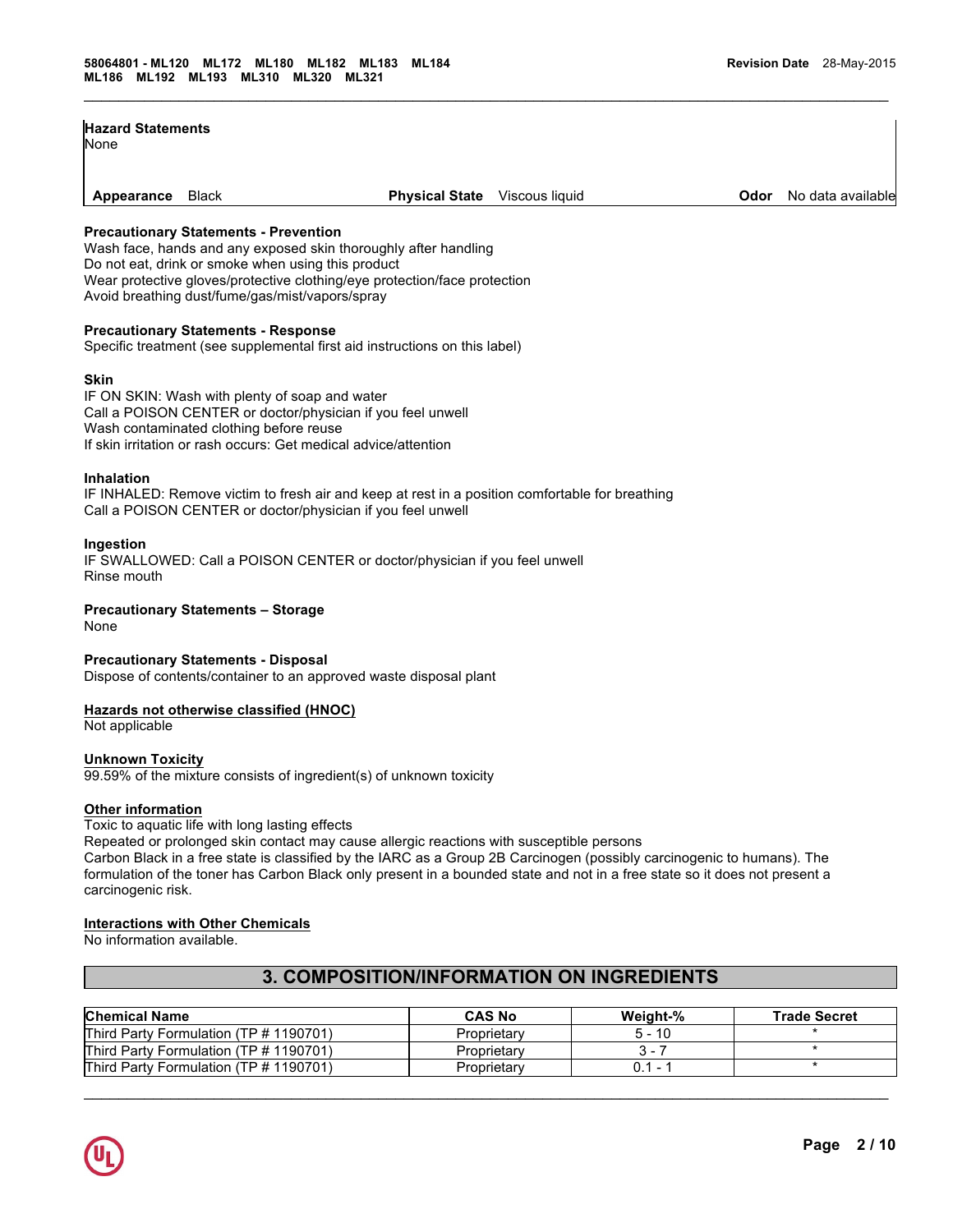| <b>Hazard Statements</b><br>None |                                       |                                                                 |                |      |                   |
|----------------------------------|---------------------------------------|-----------------------------------------------------------------|----------------|------|-------------------|
| Appearance                       | Black                                 | <b>Physical State</b>                                           | Viscous liquid | Odor | No data available |
|                                  | Precautionary Statements - Prevention | Wash face, hands and any exposed skin thoroughly after handling |                |      |                   |

 $\mathcal{L}_\mathcal{L} = \{ \mathcal{L}_\mathcal{L} = \{ \mathcal{L}_\mathcal{L} = \{ \mathcal{L}_\mathcal{L} = \{ \mathcal{L}_\mathcal{L} = \{ \mathcal{L}_\mathcal{L} = \{ \mathcal{L}_\mathcal{L} = \{ \mathcal{L}_\mathcal{L} = \{ \mathcal{L}_\mathcal{L} = \{ \mathcal{L}_\mathcal{L} = \{ \mathcal{L}_\mathcal{L} = \{ \mathcal{L}_\mathcal{L} = \{ \mathcal{L}_\mathcal{L} = \{ \mathcal{L}_\mathcal{L} = \{ \mathcal{L}_\mathcal{$ 

### **Precautionary Statements - Prevention**

ice, hands and any exposed skin thoroughly a Do not eat, drink or smoke when using this product Wear protective gloves/protective clothing/eye protection/face protection Avoid breathing dust/fume/gas/mist/vapors/spray

# **Precautionary Statements - Response**

Specific treatment (see supplemental first aid instructions on this label)

#### **Skin**

IF ON SKIN: Wash with plenty of soap and water Call a POISON CENTER or doctor/physician if you feel unwell Wash contaminated clothing before reuse If skin irritation or rash occurs: Get medical advice/attention

# **Inhalation**

IF INHALED: Remove victim to fresh air and keep at rest in a position comfortable for breathing Call a POISON CENTER or doctor/physician if you feel unwell

#### **Ingestion**

IF SWALLOWED: Call a POISON CENTER or doctor/physician if you feel unwell Rinse mouth

# **Precautionary Statements – Storage**

None

# **Precautionary Statements - Disposal**

Dispose of contents/container to an approved waste disposal plant

# **Hazards not otherwise classified (HNOC)**

Not applicable

#### **Unknown Toxicity**

99.59% of the mixture consists of ingredient(s) of unknown toxicity

### **Other information**

Toxic to aquatic life with long lasting effects

Repeated or prolonged skin contact may cause allergic reactions with susceptible persons

Carbon Black in a free state is classified by the IARC as a Group 2B Carcinogen (possibly carcinogenic to humans). The formulation of the toner has Carbon Black only present in a bounded state and not in a free state so it does not present a carcinogenic risk.

# **Interactions with Other Chemicals**

No information available.

# **3. COMPOSITION/INFORMATION ON INGREDIENTS**

| <b>Chemical Name</b>                   | <b>CAS No</b> | Weight-%              | <b>Trade Secret</b> |
|----------------------------------------|---------------|-----------------------|---------------------|
| Third Party Formulation (TP # 1190701) | Proprietary   | 5 - 10                |                     |
| Third Party Formulation (TP # 1190701) | Proprietary   | ₹ –                   |                     |
| Third Party Formulation (TP # 1190701) | Proprietary   | 0.1<br>. <del>.</del> |                     |

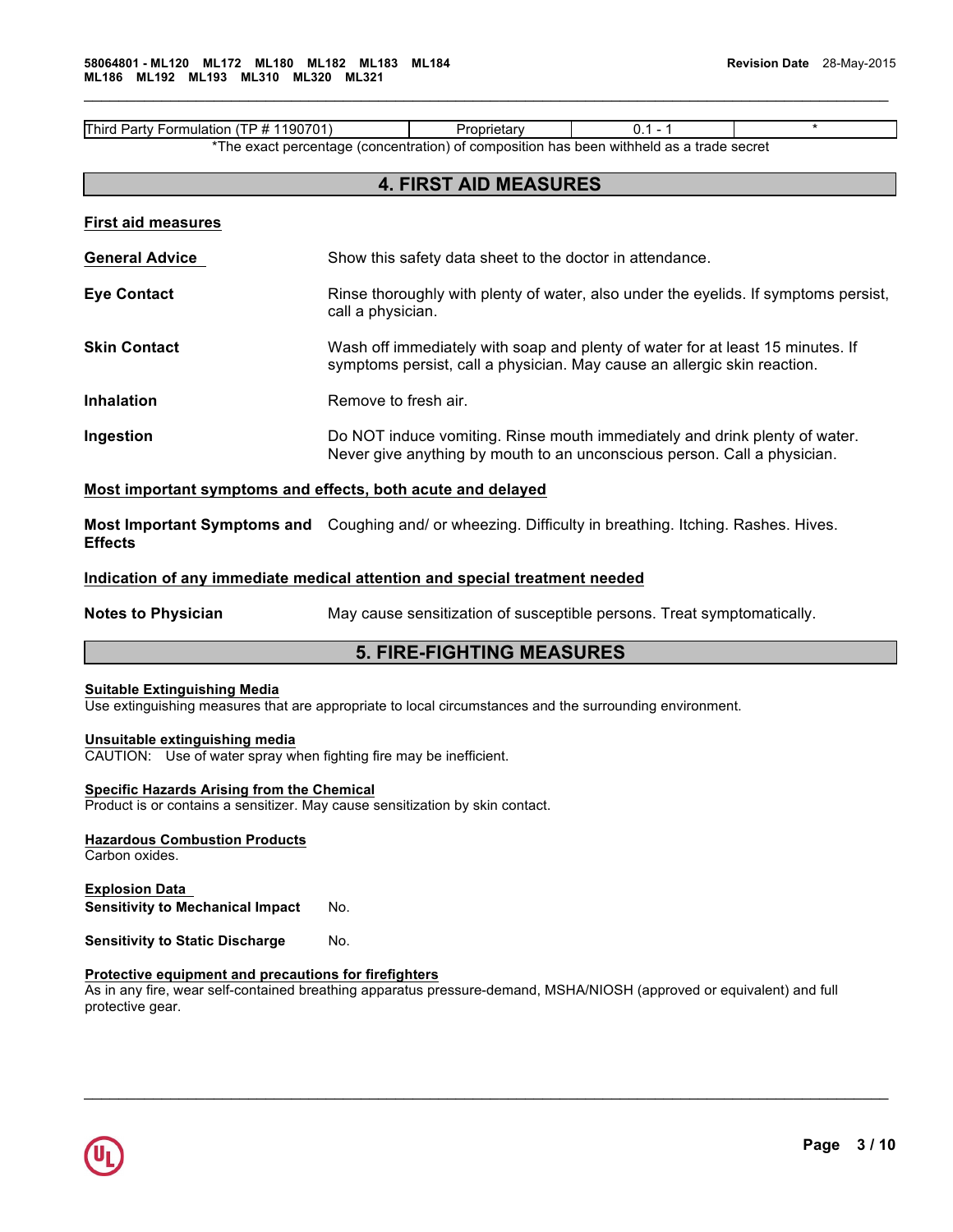Third Party Formulation (TP # 1190701) Proprietary 0.1 - 1 \* \*The exact percentage (concentration) of composition has been withheld as a trade secret

# **4. FIRST AID MEASURES**

 $\mathcal{L}_\mathcal{L} = \{ \mathcal{L}_\mathcal{L} = \{ \mathcal{L}_\mathcal{L} = \{ \mathcal{L}_\mathcal{L} = \{ \mathcal{L}_\mathcal{L} = \{ \mathcal{L}_\mathcal{L} = \{ \mathcal{L}_\mathcal{L} = \{ \mathcal{L}_\mathcal{L} = \{ \mathcal{L}_\mathcal{L} = \{ \mathcal{L}_\mathcal{L} = \{ \mathcal{L}_\mathcal{L} = \{ \mathcal{L}_\mathcal{L} = \{ \mathcal{L}_\mathcal{L} = \{ \mathcal{L}_\mathcal{L} = \{ \mathcal{L}_\mathcal{$ 

**General Advice** Show this safety data sheet to the doctor in attendance.

- **Eye Contact** Rinse thoroughly with plenty of water, also under the eyelids. If symptoms persist, call a physician.
- **Skin Contact Wash off immediately with soap and plenty of water for at least 15 minutes. If** symptoms persist, call a physician. May cause an allergic skin reaction.
- **Inhalation Remove to fresh air.**
- **Ingestion Do NOT** induce vomiting. Rinse mouth immediately and drink plenty of water. Never give anything by mouth to an unconscious person. Call a physician.

# **Most important symptoms and effects, both acute and delayed**

**Most Important Symptoms and** Coughing and/ or wheezing. Difficulty in breathing. Itching. Rashes. Hives. **Effects** 

# **Indication of any immediate medical attention and special treatment needed**

**Notes to Physician** May cause sensitization of susceptible persons. Treat symptomatically.

# **5. FIRE-FIGHTING MEASURES**

### **Suitable Extinguishing Media**

Use extinguishing measures that are appropriate to local circumstances and the surrounding environment.

# **Unsuitable extinguishing media**

CAUTION: Use of water spray when fighting fire may be inefficient.

# **Specific Hazards Arising from the Chemical**

Product is or contains a sensitizer. May cause sensitization by skin contact.

**Hazardous Combustion Products** Carbon oxides.

**Explosion Data Sensitivity to Mechanical Impact** No.

**Sensitivity to Static Discharge Mo.** 

# **Protective equipment and precautions for firefighters**

As in any fire, wear self-contained breathing apparatus pressure-demand, MSHA/NIOSH (approved or equivalent) and full protective gear.

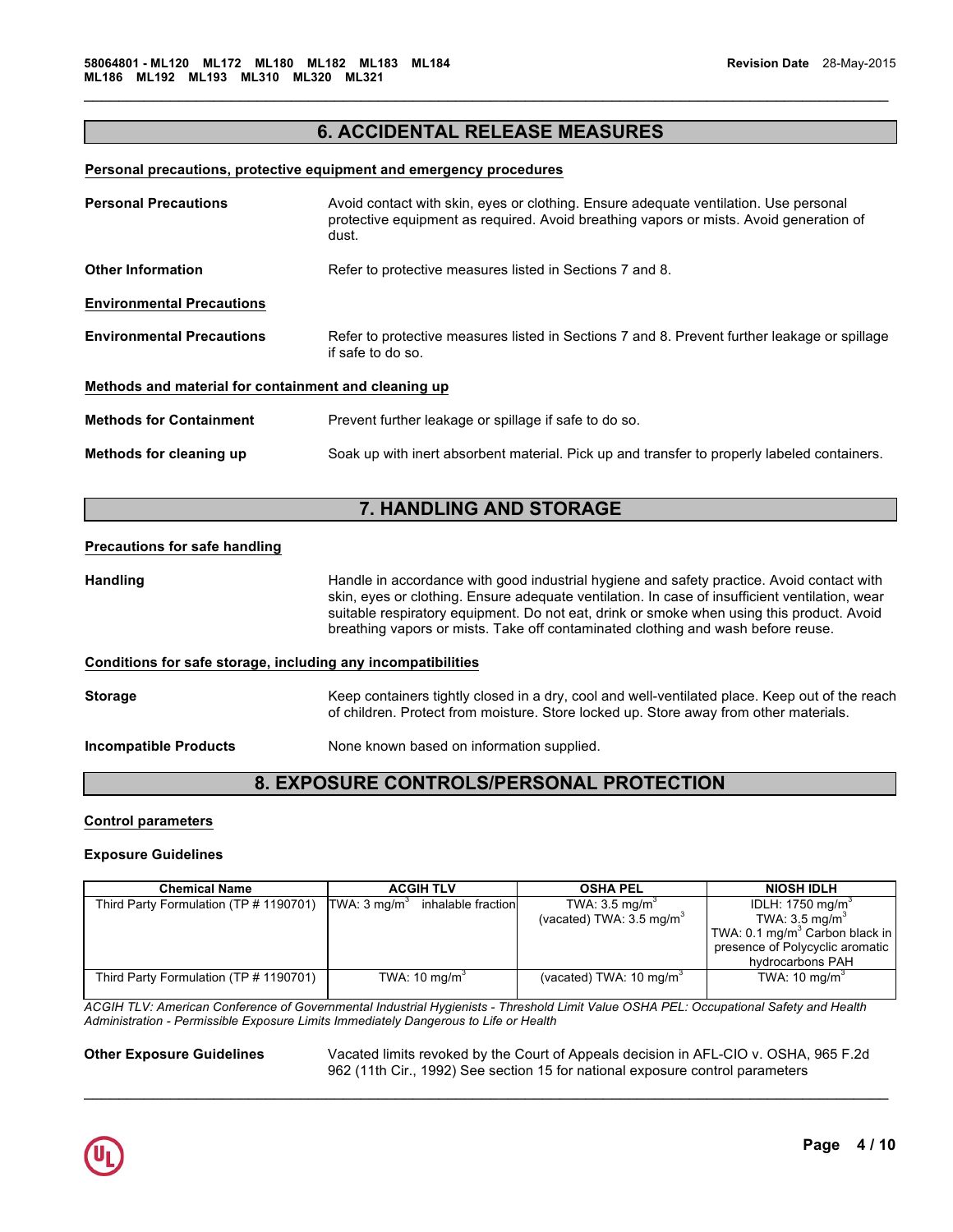# **6. ACCIDENTAL RELEASE MEASURES**

 $\mathcal{L}_\mathcal{L} = \{ \mathcal{L}_\mathcal{L} = \{ \mathcal{L}_\mathcal{L} = \{ \mathcal{L}_\mathcal{L} = \{ \mathcal{L}_\mathcal{L} = \{ \mathcal{L}_\mathcal{L} = \{ \mathcal{L}_\mathcal{L} = \{ \mathcal{L}_\mathcal{L} = \{ \mathcal{L}_\mathcal{L} = \{ \mathcal{L}_\mathcal{L} = \{ \mathcal{L}_\mathcal{L} = \{ \mathcal{L}_\mathcal{L} = \{ \mathcal{L}_\mathcal{L} = \{ \mathcal{L}_\mathcal{L} = \{ \mathcal{L}_\mathcal{$ 

#### **Personal precautions, protective equipment and emergency procedures**

| <b>Personal Precautions</b>                          | Avoid contact with skin, eyes or clothing. Ensure adequate ventilation. Use personal<br>protective equipment as required. Avoid breathing vapors or mists. Avoid generation of<br>dust. |
|------------------------------------------------------|-----------------------------------------------------------------------------------------------------------------------------------------------------------------------------------------|
| <b>Other Information</b>                             | Refer to protective measures listed in Sections 7 and 8.                                                                                                                                |
| <b>Environmental Precautions</b>                     |                                                                                                                                                                                         |
| <b>Environmental Precautions</b>                     | Refer to protective measures listed in Sections 7 and 8. Prevent further leakage or spillage<br>if safe to do so.                                                                       |
| Methods and material for containment and cleaning up |                                                                                                                                                                                         |
| <b>Methods for Containment</b>                       | Prevent further leakage or spillage if safe to do so.                                                                                                                                   |
| Methods for cleaning up                              | Soak up with inert absorbent material. Pick up and transfer to properly labeled containers.                                                                                             |

# **7. HANDLING AND STORAGE**

### **Precautions for safe handling**

Handling **Handle in accordance with good industrial hygiene and safety practice. Avoid contact with** skin, eyes or clothing. Ensure adequate ventilation. In case of insufficient ventilation, wear suitable respiratory equipment. Do not eat, drink or smoke when using this product. Avoid breathing vapors or mists. Take off contaminated clothing and wash before reuse.

### **Conditions for safe storage, including any incompatibilities**

Storage **Keep containers tightly closed in a dry**, cool and well-ventilated place. Keep out of the reach of children. Protect from moisture. Store locked up. Store away from other materials. **Incompatible Products None known based on information supplied.** 

# **8. EXPOSURE CONTROLS/PERSONAL PROTECTION**

# **Control parameters**

### **Exposure Guidelines**

| <b>Chemical Name</b>                   | <b>ACGIH TLV</b>                              | <b>OSHA PEL</b>                     | <b>NIOSH IDLH</b>                          |
|----------------------------------------|-----------------------------------------------|-------------------------------------|--------------------------------------------|
| Third Party Formulation (TP # 1190701) | TWA: $3 \text{ mg/m}^3$<br>inhalable fraction | TWA: $3.5 \text{ mg/m}^3$           | IDLH: 1750 mg/m <sup>3</sup>               |
|                                        |                                               | (vacated) TWA: $3.5 \text{ mg/m}^3$ | TWA: $3.5 \text{ mg/m}^3$                  |
|                                        |                                               |                                     | TWA: 0.1 mg/m <sup>3</sup> Carbon black in |
|                                        |                                               |                                     | presence of Polycyclic aromatic            |
|                                        |                                               |                                     | hydrocarbons PAH                           |
| Third Party Formulation (TP # 1190701) | TWA: $10 \text{ mg/m}^3$                      | (vacated) TWA: $10 \text{ ma/m}^3$  | TWA: $10 \text{ mg/m}^3$                   |
|                                        |                                               |                                     |                                            |

*ACGIH TLV: American Conference of Governmental Industrial Hygienists - Threshold Limit Value OSHA PEL: Occupational Safety and Health Administration - Permissible Exposure Limits Immediately Dangerous to Life or Health* 

 $\mathcal{L}_\mathcal{L} = \mathcal{L}_\mathcal{L} = \mathcal{L}_\mathcal{L} = \mathcal{L}_\mathcal{L} = \mathcal{L}_\mathcal{L} = \mathcal{L}_\mathcal{L} = \mathcal{L}_\mathcal{L} = \mathcal{L}_\mathcal{L} = \mathcal{L}_\mathcal{L} = \mathcal{L}_\mathcal{L} = \mathcal{L}_\mathcal{L} = \mathcal{L}_\mathcal{L} = \mathcal{L}_\mathcal{L} = \mathcal{L}_\mathcal{L} = \mathcal{L}_\mathcal{L} = \mathcal{L}_\mathcal{L} = \mathcal{L}_\mathcal{L}$ 

**Other Exposure Guidelines** Vacated limits revoked by the Court of Appeals decision in AFL-CIO v. OSHA, 965 F.2d 962 (11th Cir., 1992) See section 15 for national exposure control parameters

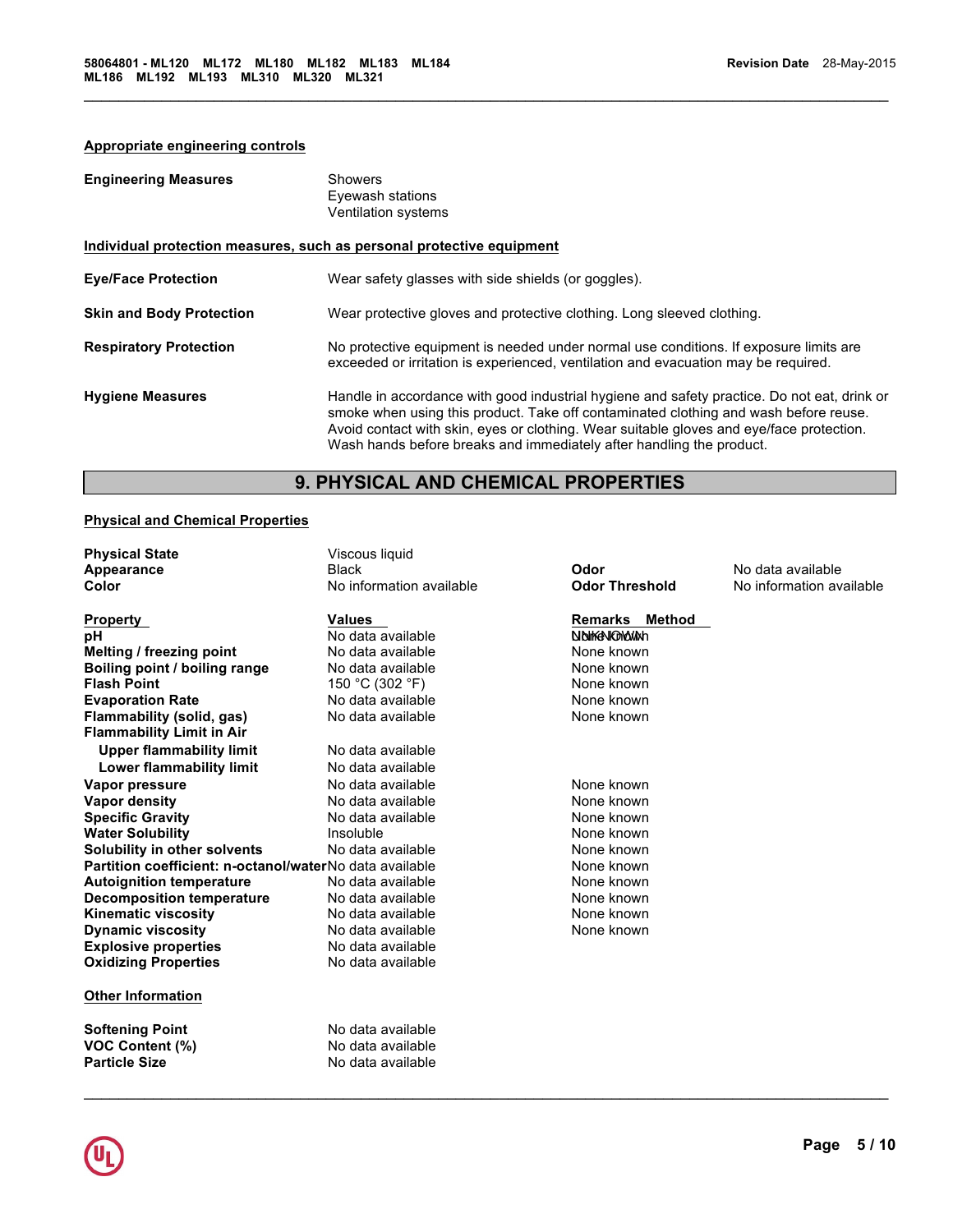# **Appropriate engineering controls**

| <b>Engineering Measures</b>     | Showers<br>Eyewash stations<br><b>Ventilation systems</b>                                                                                                                                                                                                                                                                                               |
|---------------------------------|---------------------------------------------------------------------------------------------------------------------------------------------------------------------------------------------------------------------------------------------------------------------------------------------------------------------------------------------------------|
|                                 | Individual protection measures, such as personal protective equipment                                                                                                                                                                                                                                                                                   |
| <b>Eye/Face Protection</b>      | Wear safety glasses with side shields (or goggles).                                                                                                                                                                                                                                                                                                     |
| <b>Skin and Body Protection</b> | Wear protective gloves and protective clothing. Long sleeved clothing.                                                                                                                                                                                                                                                                                  |
| <b>Respiratory Protection</b>   | No protective equipment is needed under normal use conditions. If exposure limits are<br>exceeded or irritation is experienced, ventilation and evacuation may be required.                                                                                                                                                                             |
| <b>Hygiene Measures</b>         | Handle in accordance with good industrial hygiene and safety practice. Do not eat, drink or<br>smoke when using this product. Take off contaminated clothing and wash before reuse.<br>Avoid contact with skin, eyes or clothing. Wear suitable gloves and eye/face protection.<br>Wash hands before breaks and immediately after handling the product. |

 $\mathcal{L}_\mathcal{L} = \{ \mathcal{L}_\mathcal{L} = \{ \mathcal{L}_\mathcal{L} = \{ \mathcal{L}_\mathcal{L} = \{ \mathcal{L}_\mathcal{L} = \{ \mathcal{L}_\mathcal{L} = \{ \mathcal{L}_\mathcal{L} = \{ \mathcal{L}_\mathcal{L} = \{ \mathcal{L}_\mathcal{L} = \{ \mathcal{L}_\mathcal{L} = \{ \mathcal{L}_\mathcal{L} = \{ \mathcal{L}_\mathcal{L} = \{ \mathcal{L}_\mathcal{L} = \{ \mathcal{L}_\mathcal{L} = \{ \mathcal{L}_\mathcal{$ 

# **9. PHYSICAL AND CHEMICAL PROPERTIES**

# **Physical and Chemical Properties**

| <b>Physical State</b>                                   | Viscous liquid           |                          |                          |
|---------------------------------------------------------|--------------------------|--------------------------|--------------------------|
| Appearance                                              | <b>Black</b>             | Odor                     | No data available        |
| Color                                                   | No information available | <b>Odor Threshold</b>    | No information available |
| Property                                                | <b>Values</b>            | <b>Remarks</b><br>Method |                          |
| pH                                                      | No data available        | NOWARDMONAN              |                          |
| Melting / freezing point                                | No data available        | None known               |                          |
| Boiling point / boiling range                           | No data available        | None known               |                          |
| <b>Flash Point</b>                                      | 150 °C (302 °F)          | None known               |                          |
| <b>Evaporation Rate</b>                                 | No data available        | None known               |                          |
| Flammability (solid, gas)                               | No data available        | None known               |                          |
| <b>Flammability Limit in Air</b>                        |                          |                          |                          |
| <b>Upper flammability limit</b>                         | No data available        |                          |                          |
| Lower flammability limit                                | No data available        |                          |                          |
| Vapor pressure                                          | No data available        | None known               |                          |
| Vapor density                                           | No data available        | None known               |                          |
| <b>Specific Gravity</b>                                 | No data available        | None known               |                          |
| <b>Water Solubility</b>                                 | Insoluble                | None known               |                          |
| Solubility in other solvents                            | No data available        | None known               |                          |
| Partition coefficient: n-octanol/waterNo data available |                          | None known               |                          |
| <b>Autoignition temperature</b>                         | No data available        | None known               |                          |
| <b>Decomposition temperature</b>                        | No data available        | None known               |                          |
| <b>Kinematic viscosity</b>                              | No data available        | None known               |                          |
| <b>Dynamic viscosity</b>                                | No data available        | None known               |                          |
| <b>Explosive properties</b>                             | No data available        |                          |                          |
| <b>Oxidizing Properties</b>                             | No data available        |                          |                          |
| <b>Other Information</b>                                |                          |                          |                          |
| <b>Softening Point</b>                                  | No data available        |                          |                          |
| <b>VOC Content (%)</b>                                  | No data available        |                          |                          |
| <b>Particle Size</b>                                    | No data available        |                          |                          |

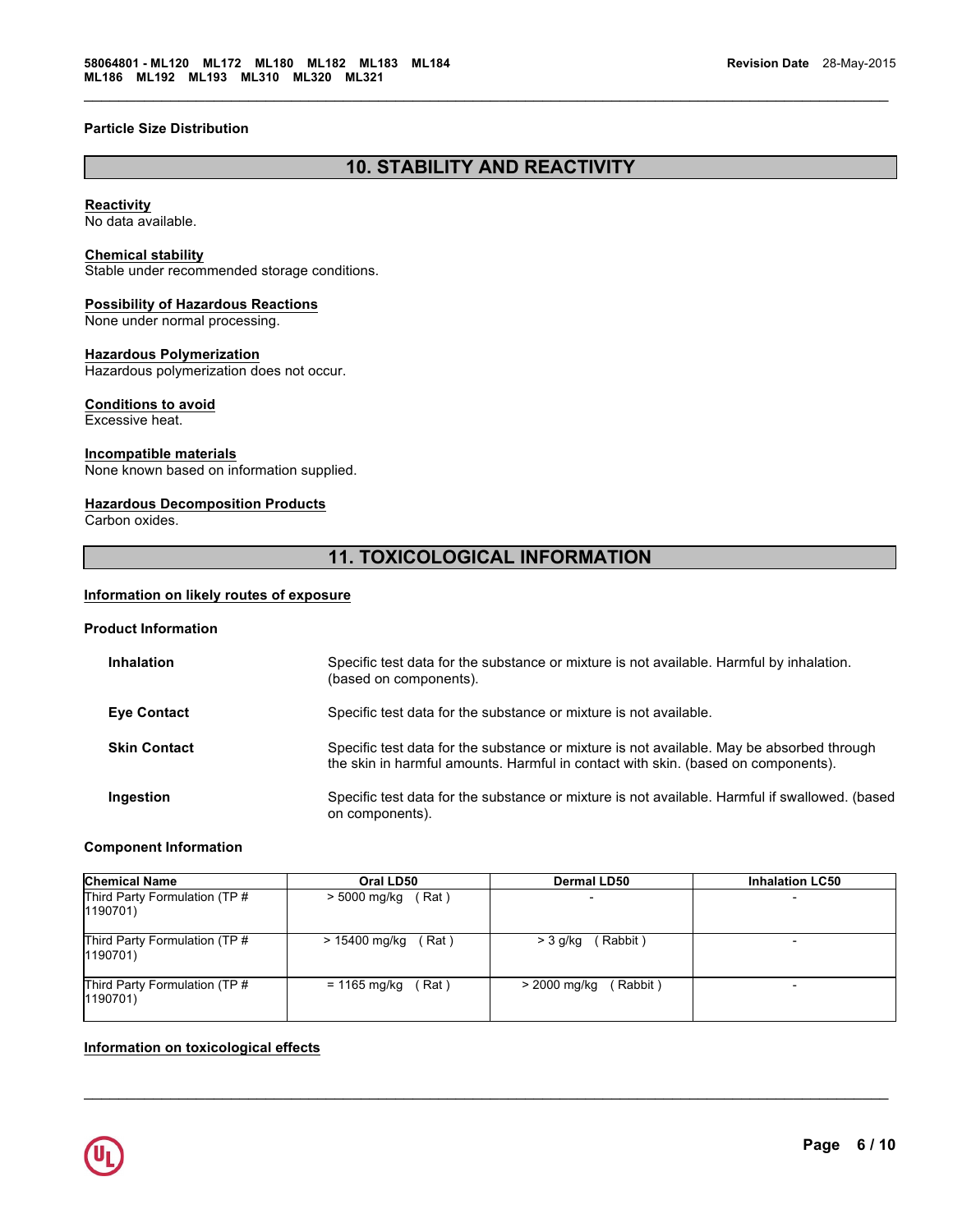# **Particle Size Distribution**

# **10. STABILITY AND REACTIVITY**

 $\mathcal{L}_\mathcal{L} = \{ \mathcal{L}_\mathcal{L} = \{ \mathcal{L}_\mathcal{L} = \{ \mathcal{L}_\mathcal{L} = \{ \mathcal{L}_\mathcal{L} = \{ \mathcal{L}_\mathcal{L} = \{ \mathcal{L}_\mathcal{L} = \{ \mathcal{L}_\mathcal{L} = \{ \mathcal{L}_\mathcal{L} = \{ \mathcal{L}_\mathcal{L} = \{ \mathcal{L}_\mathcal{L} = \{ \mathcal{L}_\mathcal{L} = \{ \mathcal{L}_\mathcal{L} = \{ \mathcal{L}_\mathcal{L} = \{ \mathcal{L}_\mathcal{$ 

# **Reactivity**

No data available.

# **Chemical stability**

Stable under recommended storage conditions.

# **Possibility of Hazardous Reactions**

None under normal processing.

# **Hazardous Polymerization**

Hazardous polymerization does not occur.

#### **Conditions to avoid**

Excessive heat.

# **Incompatible materials**

None known based on information supplied.

# **Hazardous Decomposition Products**

Carbon oxides.

# **11. TOXICOLOGICAL INFORMATION**

# **Information on likely routes of exposure**

#### **Product Information**

| <b>Inhalation</b>   | Specific test data for the substance or mixture is not available. Harmful by inhalation.<br>(based on components).                                                             |
|---------------------|--------------------------------------------------------------------------------------------------------------------------------------------------------------------------------|
| <b>Eye Contact</b>  | Specific test data for the substance or mixture is not available.                                                                                                              |
| <b>Skin Contact</b> | Specific test data for the substance or mixture is not available. May be absorbed through<br>the skin in harmful amounts. Harmful in contact with skin. (based on components). |
| Ingestion           | Specific test data for the substance or mixture is not available. Harmful if swallowed. (based<br>on components).                                                              |

# **Component Information**

| <b>Chemical Name</b>                      | Oral LD50            | <b>Dermal LD50</b> | <b>Inhalation LC50</b>   |
|-------------------------------------------|----------------------|--------------------|--------------------------|
| Third Party Formulation (TP #<br>1190701) | > 5000 mg/kg<br>Rat) |                    |                          |
| Third Party Formulation (TP #             | (Rat)                | (Rabbit)           | $\overline{\phantom{0}}$ |
| 1190701)                                  | > 15400 mg/kg        | > 3 g/kg           |                          |
| Third Party Formulation (TP #             | Rat)                 | > 2000 mg/kg       | $\overline{\phantom{0}}$ |
| 1190701)                                  | = 1165 mg/kg         | (Rabbit)           |                          |

 $\mathcal{L}_\mathcal{L} = \mathcal{L}_\mathcal{L} = \mathcal{L}_\mathcal{L} = \mathcal{L}_\mathcal{L} = \mathcal{L}_\mathcal{L} = \mathcal{L}_\mathcal{L} = \mathcal{L}_\mathcal{L} = \mathcal{L}_\mathcal{L} = \mathcal{L}_\mathcal{L} = \mathcal{L}_\mathcal{L} = \mathcal{L}_\mathcal{L} = \mathcal{L}_\mathcal{L} = \mathcal{L}_\mathcal{L} = \mathcal{L}_\mathcal{L} = \mathcal{L}_\mathcal{L} = \mathcal{L}_\mathcal{L} = \mathcal{L}_\mathcal{L}$ 

# **Information on toxicological effects**

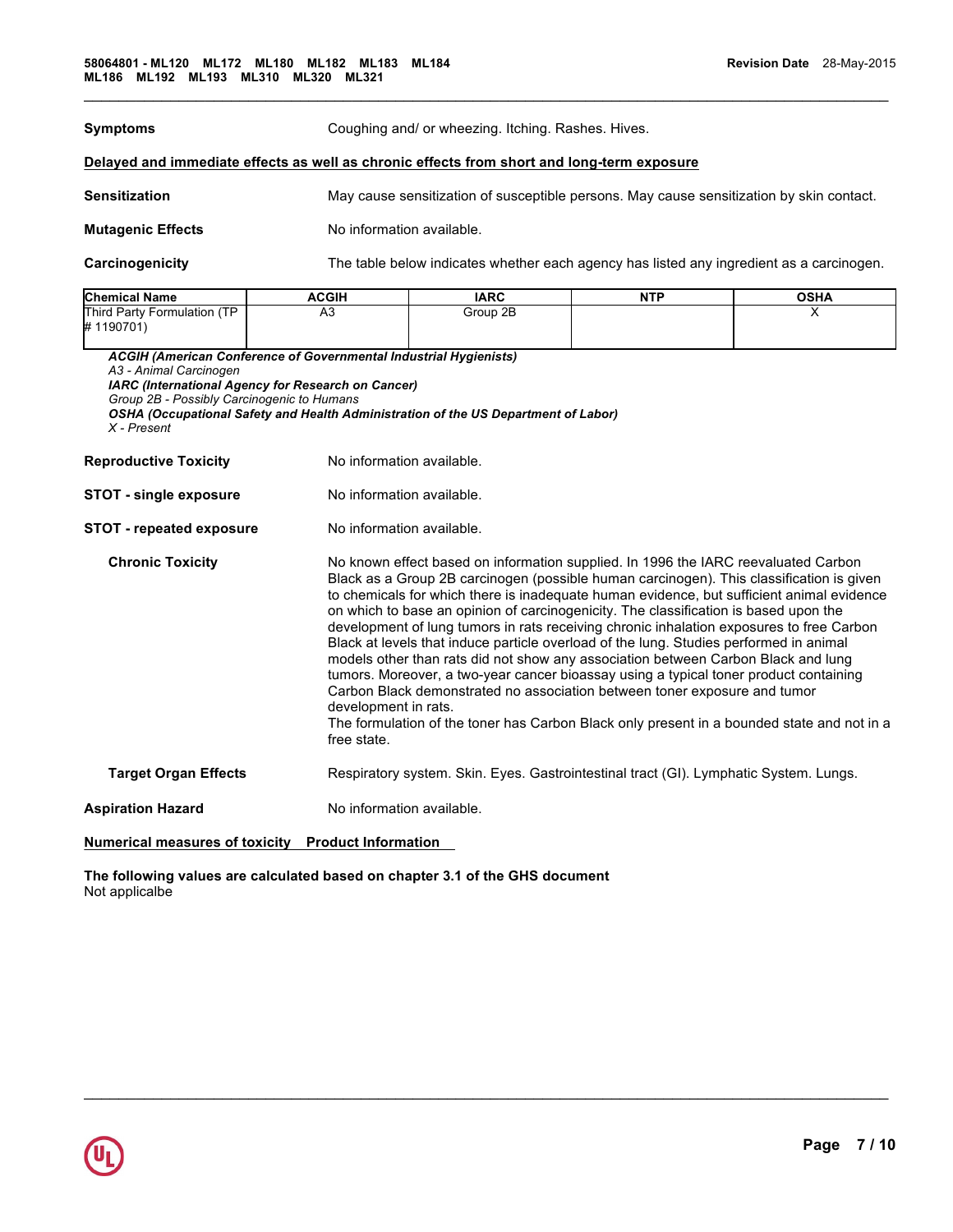| <b>Symptoms</b>                                                                                                                                                                                                                                                                                               |                            | Coughing and/ or wheezing. Itching. Rashes. Hives.                                                                                                                                                                                                                                                                                                                                                                                                                                                                                                                                                                                                                                                                                                                                                                                                                                                                                         |                                                                                       |                                                                                          |  |
|---------------------------------------------------------------------------------------------------------------------------------------------------------------------------------------------------------------------------------------------------------------------------------------------------------------|----------------------------|--------------------------------------------------------------------------------------------------------------------------------------------------------------------------------------------------------------------------------------------------------------------------------------------------------------------------------------------------------------------------------------------------------------------------------------------------------------------------------------------------------------------------------------------------------------------------------------------------------------------------------------------------------------------------------------------------------------------------------------------------------------------------------------------------------------------------------------------------------------------------------------------------------------------------------------------|---------------------------------------------------------------------------------------|------------------------------------------------------------------------------------------|--|
| Delayed and immediate effects as well as chronic effects from short and long-term exposure                                                                                                                                                                                                                    |                            |                                                                                                                                                                                                                                                                                                                                                                                                                                                                                                                                                                                                                                                                                                                                                                                                                                                                                                                                            |                                                                                       |                                                                                          |  |
| <b>Sensitization</b>                                                                                                                                                                                                                                                                                          |                            | May cause sensitization of susceptible persons. May cause sensitization by skin contact.                                                                                                                                                                                                                                                                                                                                                                                                                                                                                                                                                                                                                                                                                                                                                                                                                                                   |                                                                                       |                                                                                          |  |
| <b>Mutagenic Effects</b>                                                                                                                                                                                                                                                                                      | No information available.  |                                                                                                                                                                                                                                                                                                                                                                                                                                                                                                                                                                                                                                                                                                                                                                                                                                                                                                                                            |                                                                                       |                                                                                          |  |
| Carcinogenicity                                                                                                                                                                                                                                                                                               |                            |                                                                                                                                                                                                                                                                                                                                                                                                                                                                                                                                                                                                                                                                                                                                                                                                                                                                                                                                            |                                                                                       | The table below indicates whether each agency has listed any ingredient as a carcinogen. |  |
| <b>Chemical Name</b>                                                                                                                                                                                                                                                                                          | <b>ACGIH</b>               | <b>IARC</b>                                                                                                                                                                                                                                                                                                                                                                                                                                                                                                                                                                                                                                                                                                                                                                                                                                                                                                                                | <b>NTP</b>                                                                            | <b>OSHA</b>                                                                              |  |
| Third Party Formulation (TP<br>#1190701)                                                                                                                                                                                                                                                                      | A3                         | Group 2B                                                                                                                                                                                                                                                                                                                                                                                                                                                                                                                                                                                                                                                                                                                                                                                                                                                                                                                                   |                                                                                       | X                                                                                        |  |
| <b>ACGIH (American Conference of Governmental Industrial Hygienists)</b><br>A3 - Animal Carcinogen<br>IARC (International Agency for Research on Cancer)<br>Group 2B - Possibly Carcinogenic to Humans<br>OSHA (Occupational Safety and Health Administration of the US Department of Labor)<br>$X$ - Present |                            |                                                                                                                                                                                                                                                                                                                                                                                                                                                                                                                                                                                                                                                                                                                                                                                                                                                                                                                                            |                                                                                       |                                                                                          |  |
| <b>Reproductive Toxicity</b>                                                                                                                                                                                                                                                                                  |                            | No information available.                                                                                                                                                                                                                                                                                                                                                                                                                                                                                                                                                                                                                                                                                                                                                                                                                                                                                                                  |                                                                                       |                                                                                          |  |
| <b>STOT - single exposure</b>                                                                                                                                                                                                                                                                                 |                            | No information available.                                                                                                                                                                                                                                                                                                                                                                                                                                                                                                                                                                                                                                                                                                                                                                                                                                                                                                                  |                                                                                       |                                                                                          |  |
| <b>STOT - repeated exposure</b>                                                                                                                                                                                                                                                                               |                            | No information available.                                                                                                                                                                                                                                                                                                                                                                                                                                                                                                                                                                                                                                                                                                                                                                                                                                                                                                                  |                                                                                       |                                                                                          |  |
| <b>Chronic Toxicity</b>                                                                                                                                                                                                                                                                                       | free state.                | No known effect based on information supplied. In 1996 the IARC reevaluated Carbon<br>Black as a Group 2B carcinogen (possible human carcinogen). This classification is given<br>to chemicals for which there is inadequate human evidence, but sufficient animal evidence<br>on which to base an opinion of carcinogenicity. The classification is based upon the<br>development of lung tumors in rats receiving chronic inhalation exposures to free Carbon<br>Black at levels that induce particle overload of the lung. Studies performed in animal<br>models other than rats did not show any association between Carbon Black and lung<br>tumors. Moreover, a two-year cancer bioassay using a typical toner product containing<br>Carbon Black demonstrated no association between toner exposure and tumor<br>development in rats.<br>The formulation of the toner has Carbon Black only present in a bounded state and not in a |                                                                                       |                                                                                          |  |
| <b>Target Organ Effects</b>                                                                                                                                                                                                                                                                                   |                            |                                                                                                                                                                                                                                                                                                                                                                                                                                                                                                                                                                                                                                                                                                                                                                                                                                                                                                                                            | Respiratory system. Skin. Eyes. Gastrointestinal tract (GI). Lymphatic System. Lungs. |                                                                                          |  |
| <b>Aspiration Hazard</b>                                                                                                                                                                                                                                                                                      | No information available.  |                                                                                                                                                                                                                                                                                                                                                                                                                                                                                                                                                                                                                                                                                                                                                                                                                                                                                                                                            |                                                                                       |                                                                                          |  |
| <b>Numerical measures of toxicity</b>                                                                                                                                                                                                                                                                         | <b>Product Information</b> |                                                                                                                                                                                                                                                                                                                                                                                                                                                                                                                                                                                                                                                                                                                                                                                                                                                                                                                                            |                                                                                       |                                                                                          |  |

 $\mathcal{L}_\mathcal{L} = \mathcal{L}_\mathcal{L} = \mathcal{L}_\mathcal{L} = \mathcal{L}_\mathcal{L} = \mathcal{L}_\mathcal{L} = \mathcal{L}_\mathcal{L} = \mathcal{L}_\mathcal{L} = \mathcal{L}_\mathcal{L} = \mathcal{L}_\mathcal{L} = \mathcal{L}_\mathcal{L} = \mathcal{L}_\mathcal{L} = \mathcal{L}_\mathcal{L} = \mathcal{L}_\mathcal{L} = \mathcal{L}_\mathcal{L} = \mathcal{L}_\mathcal{L} = \mathcal{L}_\mathcal{L} = \mathcal{L}_\mathcal{L}$ 

 $\mathcal{L}_\mathcal{L} = \{ \mathcal{L}_\mathcal{L} = \{ \mathcal{L}_\mathcal{L} = \{ \mathcal{L}_\mathcal{L} = \{ \mathcal{L}_\mathcal{L} = \{ \mathcal{L}_\mathcal{L} = \{ \mathcal{L}_\mathcal{L} = \{ \mathcal{L}_\mathcal{L} = \{ \mathcal{L}_\mathcal{L} = \{ \mathcal{L}_\mathcal{L} = \{ \mathcal{L}_\mathcal{L} = \{ \mathcal{L}_\mathcal{L} = \{ \mathcal{L}_\mathcal{L} = \{ \mathcal{L}_\mathcal{L} = \{ \mathcal{L}_\mathcal{$ 

**The following values are calculated based on chapter 3.1 of the GHS document** Not applicalbe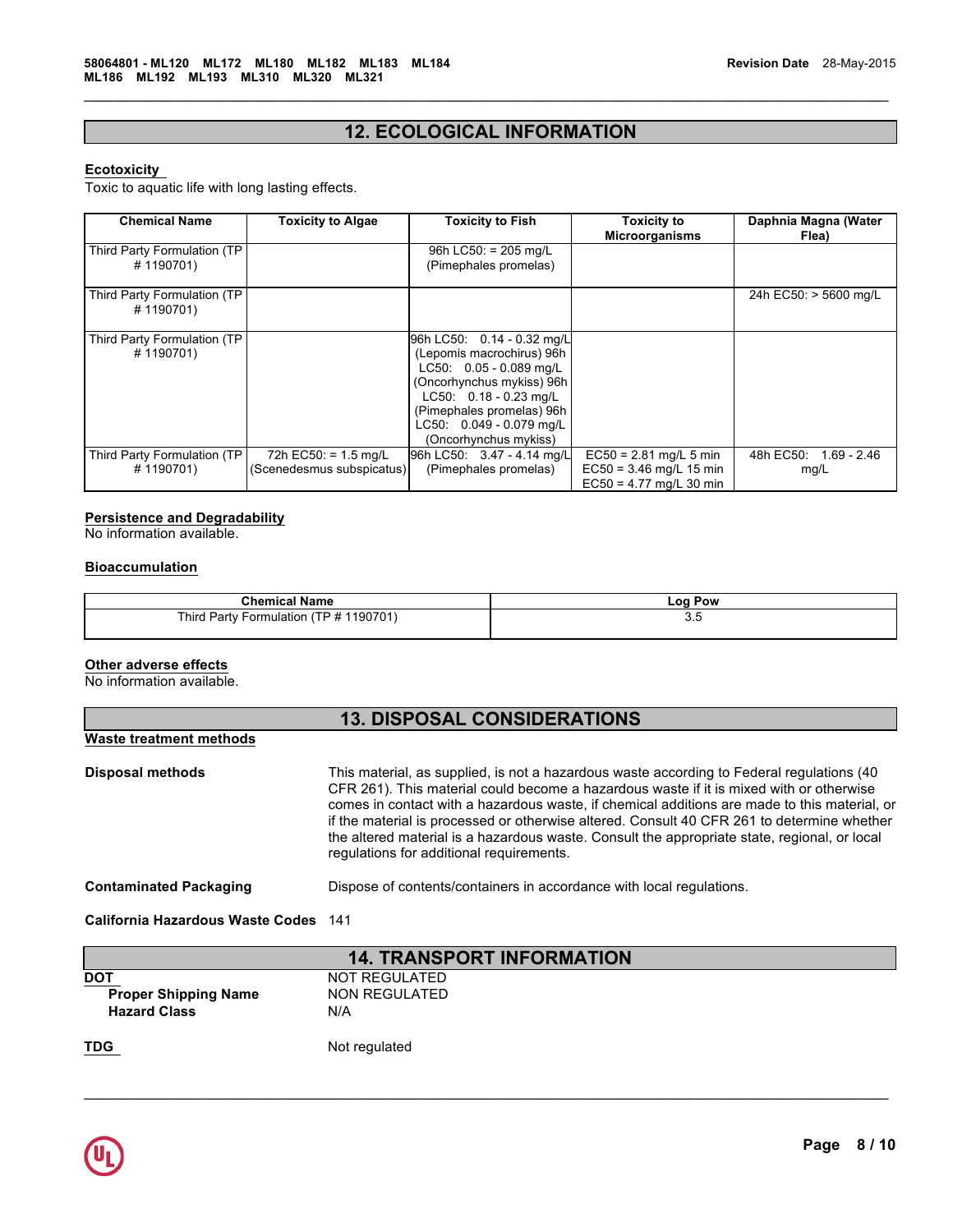# **12. ECOLOGICAL INFORMATION**

 $\mathcal{L}_\mathcal{L} = \{ \mathcal{L}_\mathcal{L} = \{ \mathcal{L}_\mathcal{L} = \{ \mathcal{L}_\mathcal{L} = \{ \mathcal{L}_\mathcal{L} = \{ \mathcal{L}_\mathcal{L} = \{ \mathcal{L}_\mathcal{L} = \{ \mathcal{L}_\mathcal{L} = \{ \mathcal{L}_\mathcal{L} = \{ \mathcal{L}_\mathcal{L} = \{ \mathcal{L}_\mathcal{L} = \{ \mathcal{L}_\mathcal{L} = \{ \mathcal{L}_\mathcal{L} = \{ \mathcal{L}_\mathcal{L} = \{ \mathcal{L}_\mathcal{$ 

# **Ecotoxicity**

Toxic to aquatic life with long lasting effects.

| <b>Chemical Name</b>                      | <b>Toxicity to Algae</b>       | <b>Toxicity to Fish</b>                                                                                                                                                                                                       | <b>Toxicity to</b><br><b>Microorganisms</b>            | Daphnia Magna (Water<br>Flea) |
|-------------------------------------------|--------------------------------|-------------------------------------------------------------------------------------------------------------------------------------------------------------------------------------------------------------------------------|--------------------------------------------------------|-------------------------------|
| Third Party Formulation (TP<br>#1190701)  |                                | 96h LC50: = $205$ mg/L<br>(Pimephales promelas)                                                                                                                                                                               |                                                        |                               |
| Third Party Formulation (TP<br>#1190701)  |                                |                                                                                                                                                                                                                               |                                                        | 24h EC50: > 5600 mg/L         |
| Third Party Formulation (TP)<br>#1190701) |                                | 96h LC50: 0.14 - 0.32 mg/L<br>(Lepomis macrochirus) 96h<br>LC50: 0.05 - 0.089 mg/L<br>(Oncorhynchus mykiss) 96h<br>$LC50: 0.18 - 0.23$ mg/L<br>(Pimephales promelas) 96h<br>LC50: 0.049 - 0.079 mg/L<br>(Oncorhynchus mykiss) |                                                        |                               |
| Third Party Formulation (TP               | 72h EC50: = $1.5 \text{ mg/L}$ | 96h LC50: 3.47 - 4.14 mg/L                                                                                                                                                                                                    | $EC50 = 2.81$ mg/L 5 min                               | 48h EC50:<br>1.69 - 2.46      |
| #1190701)                                 | (Scenedesmus subspicatus)      | (Pimephales promelas)                                                                                                                                                                                                         | $EC50 = 3.46$ mg/L 15 min<br>$EC50 = 4.77$ ma/L 30 min | mg/L                          |

# **Persistence and Degradability**

No information available.

# **Bioaccumulation**

| Chen<br>Name<br>mica.                                      | Pow<br>∟oc |
|------------------------------------------------------------|------------|
| 190701`<br>Third.<br>T<br>Party<br>⊦ormulatıon<br>۰۱۲<br>≖ | ບ.ບ        |

# **Other adverse effects**

No information available.

| <b>13. DISPOSAL CONSIDERATIONS</b> |                                                                                                                                                                                                                                                                                                                                                                                                                                                                                                                                |  |  |  |
|------------------------------------|--------------------------------------------------------------------------------------------------------------------------------------------------------------------------------------------------------------------------------------------------------------------------------------------------------------------------------------------------------------------------------------------------------------------------------------------------------------------------------------------------------------------------------|--|--|--|
| Waste treatment methods            |                                                                                                                                                                                                                                                                                                                                                                                                                                                                                                                                |  |  |  |
| <b>Disposal methods</b>            | This material, as supplied, is not a hazardous waste according to Federal regulations (40<br>CFR 261). This material could become a hazardous waste if it is mixed with or otherwise<br>comes in contact with a hazardous waste, if chemical additions are made to this material, or<br>if the material is processed or otherwise altered. Consult 40 CFR 261 to determine whether<br>the altered material is a hazardous waste. Consult the appropriate state, regional, or local<br>regulations for additional requirements. |  |  |  |
| <b>Contaminated Packaging</b>      | Dispose of contents/containers in accordance with local regulations.                                                                                                                                                                                                                                                                                                                                                                                                                                                           |  |  |  |
| California Hazardous Waste Codes   | 141                                                                                                                                                                                                                                                                                                                                                                                                                                                                                                                            |  |  |  |

| <b>14. TRANSPORT INFORMATION</b> |               |  |  |  |
|----------------------------------|---------------|--|--|--|
| DOT                              | NOT REGULATED |  |  |  |
| <b>Proper Shipping Name</b>      | NON REGULATED |  |  |  |
| <b>Hazard Class</b>              | N/A           |  |  |  |
| TDG                              | Not regulated |  |  |  |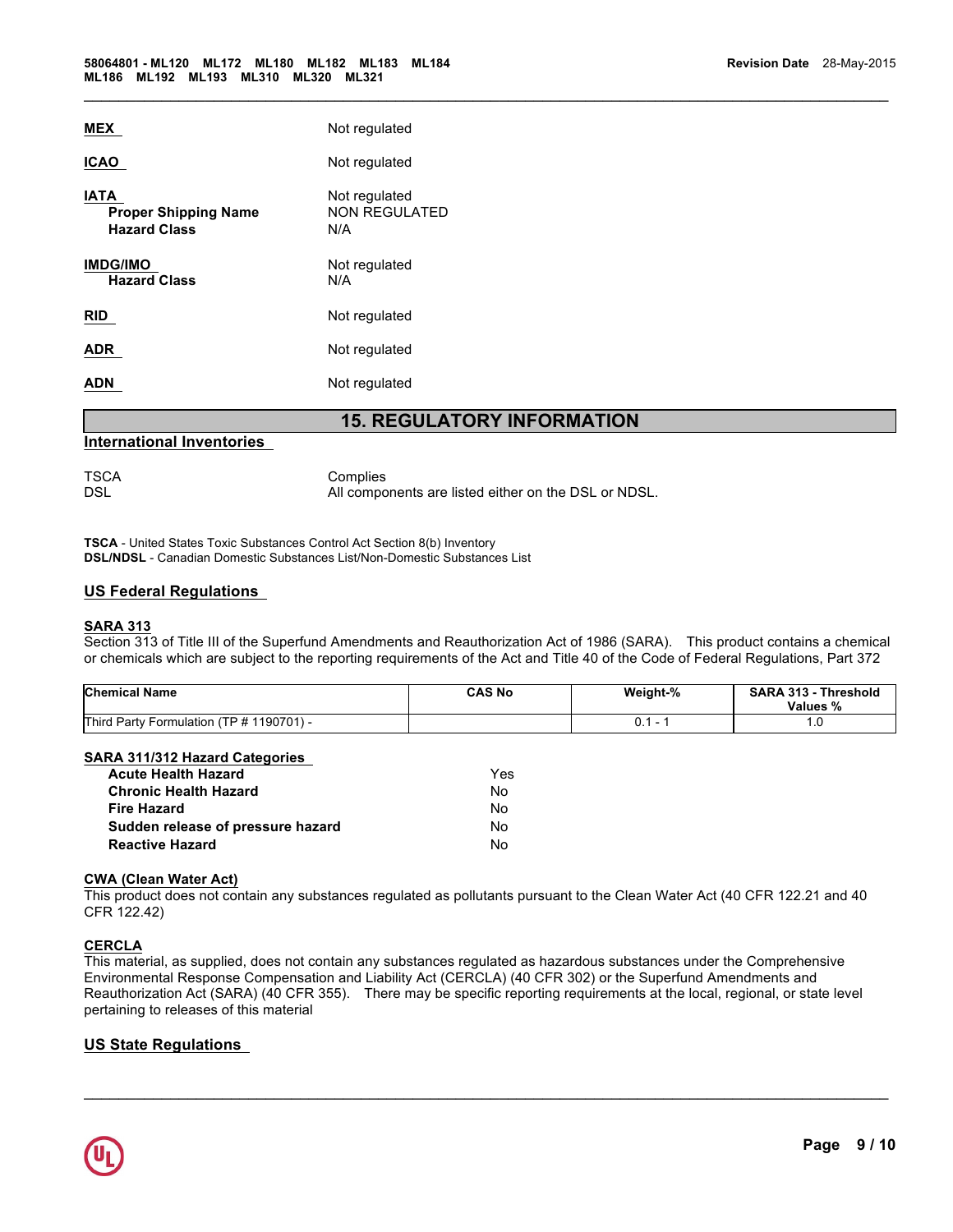| MEX                                                               | Not regulated                                |
|-------------------------------------------------------------------|----------------------------------------------|
| <b>ICAO</b>                                                       | Not regulated                                |
| <b>IATA</b><br><b>Proper Shipping Name</b><br><b>Hazard Class</b> | Not regulated<br><b>NON REGULATED</b><br>N/A |
| <b>IMDG/IMO</b><br><b>Hazard Class</b>                            | Not regulated<br>N/A                         |
| <b>RID</b>                                                        | Not regulated                                |
| ADR                                                               | Not regulated                                |
| ADN                                                               | Not regulated                                |
|                                                                   |                                              |

# **15. REGULATORY INFORMATION**

 $\mathcal{L}_\mathcal{L} = \{ \mathcal{L}_\mathcal{L} = \{ \mathcal{L}_\mathcal{L} = \{ \mathcal{L}_\mathcal{L} = \{ \mathcal{L}_\mathcal{L} = \{ \mathcal{L}_\mathcal{L} = \{ \mathcal{L}_\mathcal{L} = \{ \mathcal{L}_\mathcal{L} = \{ \mathcal{L}_\mathcal{L} = \{ \mathcal{L}_\mathcal{L} = \{ \mathcal{L}_\mathcal{L} = \{ \mathcal{L}_\mathcal{L} = \{ \mathcal{L}_\mathcal{L} = \{ \mathcal{L}_\mathcal{L} = \{ \mathcal{L}_\mathcal{$ 

# **International Inventories**

TSCA Complies DSL DSL **All components are listed either on the DSL or NDSL**.

**TSCA** - United States Toxic Substances Control Act Section 8(b) Inventory **DSL/NDSL** - Canadian Domestic Substances List/Non-Domestic Substances List

# **US Federal Regulations**

### **SARA 313**

Section 313 of Title III of the Superfund Amendments and Reauthorization Act of 1986 (SARA). This product contains a chemical or chemicals which are subject to the reporting requirements of the Act and Title 40 of the Code of Federal Regulations, Part 372

| <b>Chemical Name</b>                     | <b>CAS No</b> | Weight-% | SARA 313 - Threshold<br>Values % |
|------------------------------------------|---------------|----------|----------------------------------|
| Third Party Formulation (TP # 1190701) - |               |          | 1.U                              |

# **SARA 311/312 Hazard Categories**

| <b>Acute Health Hazard</b>        | Yes. |
|-----------------------------------|------|
| <b>Chronic Health Hazard</b>      | N٥   |
| <b>Fire Hazard</b>                | N٥   |
| Sudden release of pressure hazard | N٥   |
| <b>Reactive Hazard</b>            | N٥   |

# **CWA (Clean Water Act)**

This product does not contain any substances regulated as pollutants pursuant to the Clean Water Act (40 CFR 122.21 and 40 CFR 122.42)

# **CERCLA**

This material, as supplied, does not contain any substances regulated as hazardous substances under the Comprehensive Environmental Response Compensation and Liability Act (CERCLA) (40 CFR 302) or the Superfund Amendments and Reauthorization Act (SARA) (40 CFR 355). There may be specific reporting requirements at the local, regional, or state level pertaining to releases of this material

 $\mathcal{L}_\mathcal{L} = \mathcal{L}_\mathcal{L} = \mathcal{L}_\mathcal{L} = \mathcal{L}_\mathcal{L} = \mathcal{L}_\mathcal{L} = \mathcal{L}_\mathcal{L} = \mathcal{L}_\mathcal{L} = \mathcal{L}_\mathcal{L} = \mathcal{L}_\mathcal{L} = \mathcal{L}_\mathcal{L} = \mathcal{L}_\mathcal{L} = \mathcal{L}_\mathcal{L} = \mathcal{L}_\mathcal{L} = \mathcal{L}_\mathcal{L} = \mathcal{L}_\mathcal{L} = \mathcal{L}_\mathcal{L} = \mathcal{L}_\mathcal{L}$ 

# **US State Regulations**